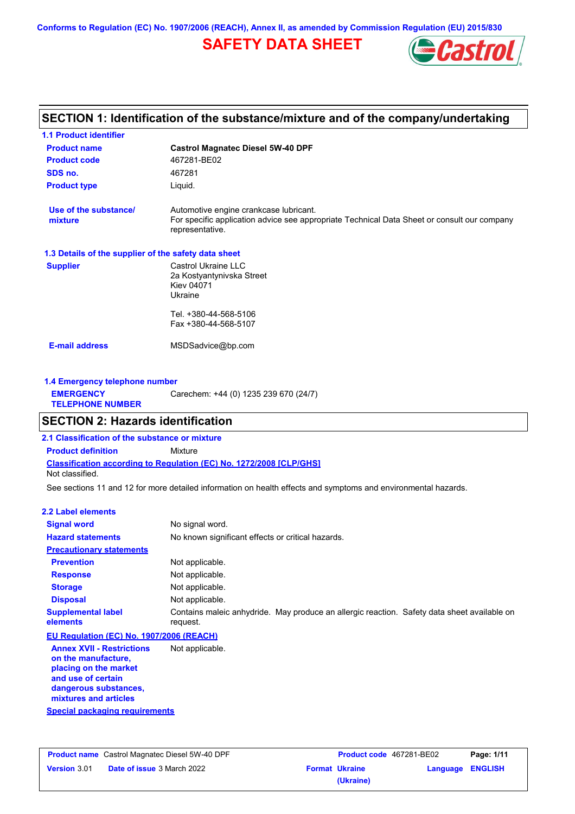**Conforms to Regulation (EC) No. 1907/2006 (REACH), Annex II, as amended by Commission Regulation (EU) 2015/830**

# **SAFETY DATA SHEET**



# **SECTION 1: Identification of the substance/mixture and of the company/undertaking**

| <b>1.1 Product identifier</b>                        |                                                                                                                                                          |  |
|------------------------------------------------------|----------------------------------------------------------------------------------------------------------------------------------------------------------|--|
| <b>Product name</b>                                  | <b>Castrol Magnatec Diesel 5W-40 DPF</b>                                                                                                                 |  |
| <b>Product code</b>                                  | 467281-BE02                                                                                                                                              |  |
| SDS no.                                              | 467281                                                                                                                                                   |  |
| <b>Product type</b>                                  | Liquid.                                                                                                                                                  |  |
| Use of the substance/<br>mixture                     | Automotive engine crankcase lubricant.<br>For specific application advice see appropriate Technical Data Sheet or consult our company<br>representative. |  |
| 1.3 Details of the supplier of the safety data sheet |                                                                                                                                                          |  |
| <b>Supplier</b>                                      | Castrol Ukraine LLC<br>2a Kostyantynivska Street<br><b>Kiev 04071</b><br>Ukraine                                                                         |  |
|                                                      | Tel. +380-44-568-5106<br>Fax +380-44-568-5107                                                                                                            |  |
| <b>E-mail address</b>                                | MSDSadvice@bp.com                                                                                                                                        |  |
| 1.4 Emergency telephone number                       |                                                                                                                                                          |  |
| <b>EMERGENCY</b><br><b>TELEPHONE NUMBER</b>          | Carechem: +44 (0) 1235 239 670 (24/7)                                                                                                                    |  |
| <b>SECTION 2: Hazards identification</b>             |                                                                                                                                                          |  |
| 2.1 Classification of the substance or mixture       |                                                                                                                                                          |  |
| <b>Product definition</b>                            | Mixture                                                                                                                                                  |  |
|                                                      | Classification according to Regulation (EC) No. 1272/2008 [CLP/GHS]                                                                                      |  |

Not classified.

See sections 11 and 12 for more detailed information on health effects and symptoms and environmental hazards.

### **2.2 Label elements**

| н. нароговного                                                                                                                                           |                                                                                                         |
|----------------------------------------------------------------------------------------------------------------------------------------------------------|---------------------------------------------------------------------------------------------------------|
| <b>Signal word</b>                                                                                                                                       | No signal word.                                                                                         |
| <b>Hazard statements</b>                                                                                                                                 | No known significant effects or critical hazards.                                                       |
| <b>Precautionary statements</b>                                                                                                                          |                                                                                                         |
| <b>Prevention</b>                                                                                                                                        | Not applicable.                                                                                         |
| <b>Response</b>                                                                                                                                          | Not applicable.                                                                                         |
| <b>Storage</b>                                                                                                                                           | Not applicable.                                                                                         |
| <b>Disposal</b>                                                                                                                                          | Not applicable.                                                                                         |
| <b>Supplemental label</b><br>elements                                                                                                                    | Contains maleic anhydride. May produce an allergic reaction. Safety data sheet available on<br>request. |
| EU Regulation (EC) No. 1907/2006 (REACH)                                                                                                                 |                                                                                                         |
| <b>Annex XVII - Restrictions</b><br>on the manufacture,<br>placing on the market<br>and use of certain<br>dangerous substances,<br>mixtures and articles | Not applicable.                                                                                         |

**Special packaging requirements**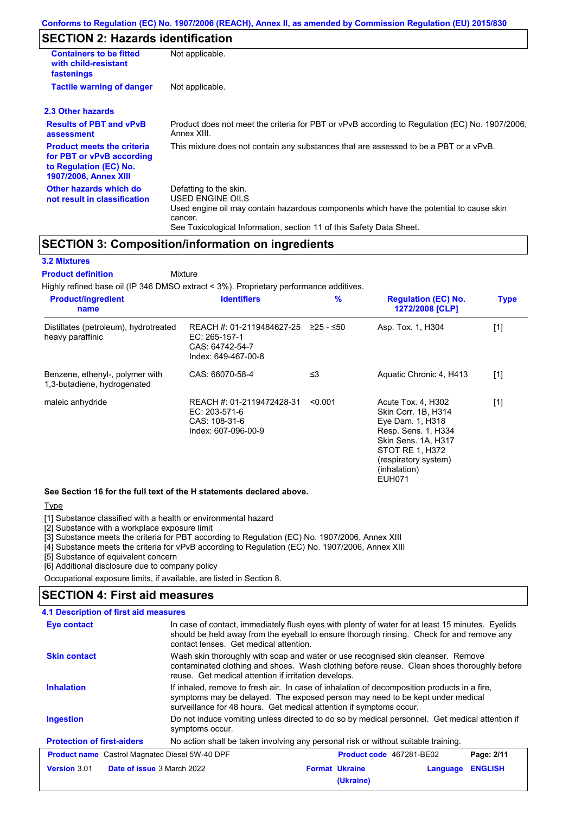# **SECTION 2: Hazards identification**

| <b>Containers to be fitted</b><br>with child-resistant<br>fastenings                                                     | Not applicable.                                                                                                                                                                                                          |
|--------------------------------------------------------------------------------------------------------------------------|--------------------------------------------------------------------------------------------------------------------------------------------------------------------------------------------------------------------------|
| <b>Tactile warning of danger</b>                                                                                         | Not applicable.                                                                                                                                                                                                          |
| 2.3 Other hazards                                                                                                        |                                                                                                                                                                                                                          |
| <b>Results of PBT and vPvB</b><br>assessment                                                                             | Product does not meet the criteria for PBT or vPvB according to Regulation (EC) No. 1907/2006,<br>Annex XIII.                                                                                                            |
| <b>Product meets the criteria</b><br>for PBT or vPvB according<br>to Regulation (EC) No.<br><b>1907/2006, Annex XIII</b> | This mixture does not contain any substances that are assessed to be a PBT or a vPvB.                                                                                                                                    |
| Other hazards which do<br>not result in classification                                                                   | Defatting to the skin.<br>USED ENGINE OILS<br>Used engine oil may contain hazardous components which have the potential to cause skin<br>cancer.<br>See Toxicological Information, section 11 of this Safety Data Sheet. |

# **SECTION 3: Composition/information on ingredients**

### **3.2 Mixtures**

Mixture **Product definition**

Highly refined base oil (IP 346 DMSO extract < 3%). Proprietary performance additives.

| <b>Product/ingredient</b><br>name                              | <b>Identifiers</b>                                                                                         | $\%$    | <b>Regulation (EC) No.</b><br>1272/2008 [CLP]                                                                                                                                           | <b>Type</b> |
|----------------------------------------------------------------|------------------------------------------------------------------------------------------------------------|---------|-----------------------------------------------------------------------------------------------------------------------------------------------------------------------------------------|-------------|
| Distillates (petroleum), hydrotreated<br>heavy paraffinic      | REACH #: 01-2119484627-25 $\geq$ 25 - $\leq$ 50<br>EC: 265-157-1<br>CAS: 64742-54-7<br>Index: 649-467-00-8 |         | Asp. Tox. 1, H304                                                                                                                                                                       | $[1]$       |
| Benzene, ethenyl-, polymer with<br>1,3-butadiene, hydrogenated | CAS: 66070-58-4                                                                                            | ≤3      | Aquatic Chronic 4, H413                                                                                                                                                                 | $[1]$       |
| maleic anhydride                                               | REACH #: 01-2119472428-31<br>EC: 203-571-6<br>CAS: 108-31-6<br>Index: 607-096-00-9                         | < 0.001 | Acute Tox. 4, H302<br>Skin Corr. 1B, H314<br>Eye Dam. 1, H318<br>Resp. Sens. 1, H334<br>Skin Sens. 1A, H317<br>STOT RE 1, H372<br>(respiratory system)<br>(inhalation)<br><b>EUH071</b> | $[1]$       |

**See Section 16 for the full text of the H statements declared above.**

#### **Type**

[1] Substance classified with a health or environmental hazard

[2] Substance with a workplace exposure limit

[3] Substance meets the criteria for PBT according to Regulation (EC) No. 1907/2006, Annex XIII

[4] Substance meets the criteria for vPvB according to Regulation (EC) No. 1907/2006, Annex XIII

[5] Substance of equivalent concern

[6] Additional disclosure due to company policy

Occupational exposure limits, if available, are listed in Section 8.

## **SECTION 4: First aid measures**

| 4.1 Description of first aid measures                 |                                                                                                                                                                                                                                                     |                                    |          |                |
|-------------------------------------------------------|-----------------------------------------------------------------------------------------------------------------------------------------------------------------------------------------------------------------------------------------------------|------------------------------------|----------|----------------|
| Eye contact                                           | In case of contact, immediately flush eyes with plenty of water for at least 15 minutes. Eyelids<br>should be held away from the eyeball to ensure thorough rinsing. Check for and remove any<br>contact lenses. Get medical attention.             |                                    |          |                |
| <b>Skin contact</b>                                   | Wash skin thoroughly with soap and water or use recognised skin cleanser. Remove<br>contaminated clothing and shoes. Wash clothing before reuse. Clean shoes thoroughly before<br>reuse. Get medical attention if irritation develops.              |                                    |          |                |
| <b>Inhalation</b>                                     | If inhaled, remove to fresh air. In case of inhalation of decomposition products in a fire,<br>symptoms may be delayed. The exposed person may need to be kept under medical<br>surveillance for 48 hours. Get medical attention if symptoms occur. |                                    |          |                |
| <b>Ingestion</b>                                      | Do not induce vomiting unless directed to do so by medical personnel. Get medical attention if<br>symptoms occur.                                                                                                                                   |                                    |          |                |
| <b>Protection of first-aiders</b>                     | No action shall be taken involving any personal risk or without suitable training.                                                                                                                                                                  |                                    |          |                |
| <b>Product name</b> Castrol Magnatec Diesel 5W-40 DPF |                                                                                                                                                                                                                                                     | <b>Product code</b> 467281-BE02    |          | Page: 2/11     |
| <b>Version 3.01</b><br>Date of issue 3 March 2022     |                                                                                                                                                                                                                                                     | <b>Format Ukraine</b><br>(Ukraine) | Language | <b>ENGLISH</b> |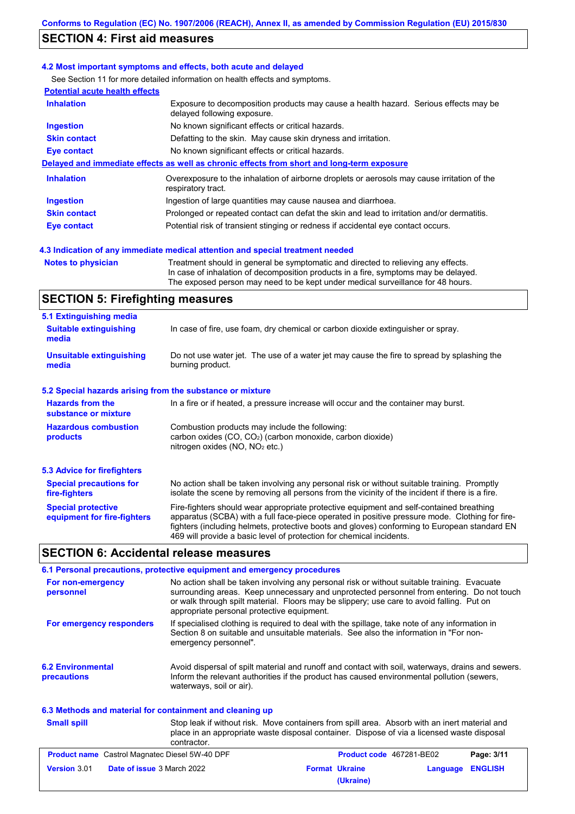# **SECTION 4: First aid measures**

### **4.2 Most important symptoms and effects, both acute and delayed**

See Section 11 for more detailed information on health effects and symptoms.

| <b>Potential acute health effects</b> |                                                                                                                     |
|---------------------------------------|---------------------------------------------------------------------------------------------------------------------|
| <b>Inhalation</b>                     | Exposure to decomposition products may cause a health hazard. Serious effects may be<br>delayed following exposure. |
| <b>Ingestion</b>                      | No known significant effects or critical hazards.                                                                   |
| <b>Skin contact</b>                   | Defatting to the skin. May cause skin dryness and irritation.                                                       |
| Eye contact                           | No known significant effects or critical hazards.                                                                   |
|                                       | Delayed and immediate effects as well as chronic effects from short and long-term exposure                          |
| <b>Inhalation</b>                     | Overexposure to the inhalation of airborne droplets or aerosols may cause irritation of the<br>respiratory tract.   |
| <b>Ingestion</b>                      | Ingestion of large quantities may cause nausea and diarrhoea.                                                       |
| <b>Skin contact</b>                   | Prolonged or repeated contact can defat the skin and lead to irritation and/or dermatitis.                          |
| Eye contact                           | Potential risk of transient stinging or redness if accidental eye contact occurs.                                   |
|                                       |                                                                                                                     |

### **4.3 Indication of any immediate medical attention and special treatment needed**

**Notes to physician** Treatment should in general be symptomatic and directed to relieving any effects. In case of inhalation of decomposition products in a fire, symptoms may be delayed. The exposed person may need to be kept under medical surveillance for 48 hours.

## **SECTION 5: Firefighting measures**

| 5.1 Extinguishing media                                   |                                                                                                                                                                                                                                                                                                                                                                   |
|-----------------------------------------------------------|-------------------------------------------------------------------------------------------------------------------------------------------------------------------------------------------------------------------------------------------------------------------------------------------------------------------------------------------------------------------|
| <b>Suitable extinguishing</b><br>media                    | In case of fire, use foam, dry chemical or carbon dioxide extinguisher or spray.                                                                                                                                                                                                                                                                                  |
| <b>Unsuitable extinguishing</b><br>media                  | Do not use water jet. The use of a water jet may cause the fire to spread by splashing the<br>burning product.                                                                                                                                                                                                                                                    |
| 5.2 Special hazards arising from the substance or mixture |                                                                                                                                                                                                                                                                                                                                                                   |
| <b>Hazards from the</b><br>substance or mixture           | In a fire or if heated, a pressure increase will occur and the container may burst.                                                                                                                                                                                                                                                                               |
| <b>Hazardous combustion</b><br>products                   | Combustion products may include the following:<br>carbon oxides (CO, CO <sub>2</sub> ) (carbon monoxide, carbon dioxide)<br>nitrogen oxides ( $NO$ , $NO2$ etc.)                                                                                                                                                                                                  |
| 5.3 Advice for firefighters                               |                                                                                                                                                                                                                                                                                                                                                                   |
| <b>Special precautions for</b><br>fire-fighters           | No action shall be taken involving any personal risk or without suitable training. Promptly<br>isolate the scene by removing all persons from the vicinity of the incident if there is a fire.                                                                                                                                                                    |
| <b>Special protective</b><br>equipment for fire-fighters  | Fire-fighters should wear appropriate protective equipment and self-contained breathing<br>apparatus (SCBA) with a full face-piece operated in positive pressure mode. Clothing for fire-<br>fighters (including helmets, protective boots and gloves) conforming to European standard EN<br>469 will provide a basic level of protection for chemical incidents. |

## **SECTION 6: Accidental release measures**

|                                                          | 6.1 Personal precautions, protective equipment and emergency procedures                                                                                                                                                                                                                                                             |
|----------------------------------------------------------|-------------------------------------------------------------------------------------------------------------------------------------------------------------------------------------------------------------------------------------------------------------------------------------------------------------------------------------|
| For non-emergency<br>personnel                           | No action shall be taken involving any personal risk or without suitable training. Evacuate<br>surrounding areas. Keep unnecessary and unprotected personnel from entering. Do not touch<br>or walk through spilt material. Floors may be slippery; use care to avoid falling. Put on<br>appropriate personal protective equipment. |
| For emergency responders                                 | If specialised clothing is required to deal with the spillage, take note of any information in<br>Section 8 on suitable and unsuitable materials. See also the information in "For non-<br>emergency personnel".                                                                                                                    |
| <b>6.2 Environmental</b><br>precautions                  | Avoid dispersal of spilt material and runoff and contact with soil, waterways, drains and sewers.<br>Inform the relevant authorities if the product has caused environmental pollution (sewers,<br>waterways, soil or air).                                                                                                         |
| 6.3 Methods and material for containment and cleaning up |                                                                                                                                                                                                                                                                                                                                     |

#### Stop leak if without risk. Move containers from spill area. Absorb with an inert material and place in an appropriate waste disposal container. Dispose of via a licensed waste disposal contractor. **Small spill Product name** Castrol Magnatec Diesel 5W-40 DPF **Product Code 467281-BE02 Page: 3/11 Version** 3.01 **Date of issue** 3 March 2022 **Format Ukraine Language ENGLISH (Ukraine)**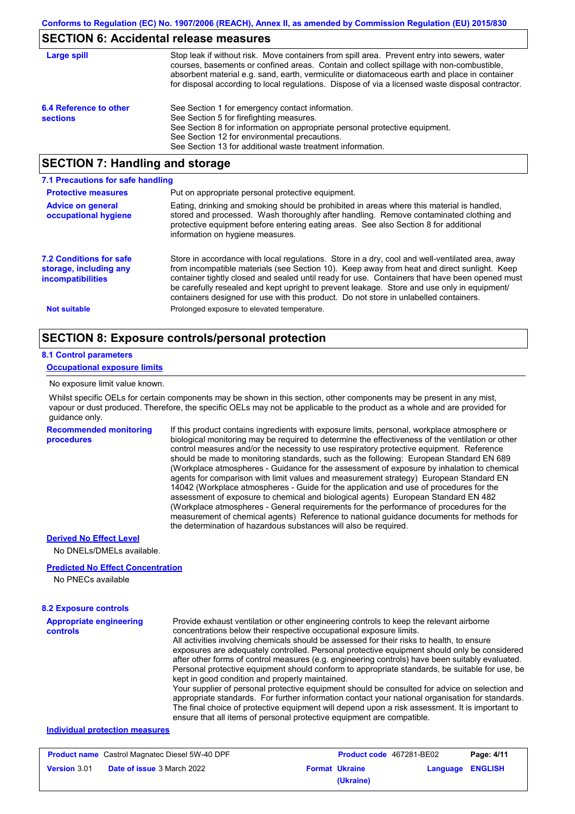# **SECTION 6: Accidental release measures**

| Large spill                               | Stop leak if without risk. Move containers from spill area. Prevent entry into sewers, water<br>courses, basements or confined areas. Contain and collect spillage with non-combustible,<br>absorbent material e.g. sand, earth, vermiculite or diatomaceous earth and place in container<br>for disposal according to local regulations. Dispose of via a licensed waste disposal contractor. |
|-------------------------------------------|------------------------------------------------------------------------------------------------------------------------------------------------------------------------------------------------------------------------------------------------------------------------------------------------------------------------------------------------------------------------------------------------|
| 6.4 Reference to other<br><b>sections</b> | See Section 1 for emergency contact information.<br>See Section 5 for firefighting measures.<br>See Section 8 for information on appropriate personal protective equipment.<br>See Section 12 for environmental precautions.<br>See Section 13 for additional waste treatment information.                                                                                                     |

# **SECTION 7: Handling and storage**

| 7.1 Precautions for safe handling                                                    |                                                                                                                                                                                                                                                                                                                                                                                                                                                                                          |
|--------------------------------------------------------------------------------------|------------------------------------------------------------------------------------------------------------------------------------------------------------------------------------------------------------------------------------------------------------------------------------------------------------------------------------------------------------------------------------------------------------------------------------------------------------------------------------------|
| <b>Protective measures</b>                                                           | Put on appropriate personal protective equipment.                                                                                                                                                                                                                                                                                                                                                                                                                                        |
| <b>Advice on general</b><br>occupational hygiene                                     | Eating, drinking and smoking should be prohibited in areas where this material is handled,<br>stored and processed. Wash thoroughly after handling. Remove contaminated clothing and<br>protective equipment before entering eating areas. See also Section 8 for additional<br>information on hygiene measures.                                                                                                                                                                         |
| <b>7.2 Conditions for safe</b><br>storage, including any<br><i>incompatibilities</i> | Store in accordance with local regulations. Store in a dry, cool and well-ventilated area, away<br>from incompatible materials (see Section 10). Keep away from heat and direct sunlight. Keep<br>container tightly closed and sealed until ready for use. Containers that have been opened must<br>be carefully resealed and kept upright to prevent leakage. Store and use only in equipment/<br>containers designed for use with this product. Do not store in unlabelled containers. |
| <b>Not suitable</b>                                                                  | Prolonged exposure to elevated temperature.                                                                                                                                                                                                                                                                                                                                                                                                                                              |

# **SECTION 8: Exposure controls/personal protection**

# **8.1 Control parameters**

**procedures**

## **Occupational exposure limits**

No exposure limit value known.

Whilst specific OELs for certain components may be shown in this section, other components may be present in any mist, vapour or dust produced. Therefore, the specific OELs may not be applicable to the product as a whole and are provided for guidance only.

**Recommended monitoring**  If this product contains ingredients with exposure limits, personal, workplace atmosphere or biological monitoring may be required to determine the effectiveness of the ventilation or other control measures and/or the necessity to use respiratory protective equipment. Reference should be made to monitoring standards, such as the following: European Standard EN 689 (Workplace atmospheres - Guidance for the assessment of exposure by inhalation to chemical agents for comparison with limit values and measurement strategy) European Standard EN 14042 (Workplace atmospheres - Guide for the application and use of procedures for the assessment of exposure to chemical and biological agents) European Standard EN 482 (Workplace atmospheres - General requirements for the performance of procedures for the measurement of chemical agents) Reference to national guidance documents for methods for the determination of hazardous substances will also be required.

### **Derived No Effect Level**

No DNELs/DMELs available.

### **Predicted No Effect Concentration**

No PNECs available

#### **Appropriate engineering controls** Provide exhaust ventilation or other engineering controls to keep the relevant airborne concentrations below their respective occupational exposure limits. All activities involving chemicals should be assessed for their risks to health, to ensure exposures are adequately controlled. Personal protective equipment should only be considered after other forms of control measures (e.g. engineering controls) have been suitably evaluated. Personal protective equipment should conform to appropriate standards, be suitable for use, be kept in good condition and properly maintained. Your supplier of personal protective equipment should be consulted for advice on selection and appropriate standards. For further information contact your national organisation for standards. The final choice of protective equipment will depend upon a risk assessment. It is important to ensure that all items of personal protective equipment are compatible. **8.2 Exposure controls Individual protection measures**

| <b>Product name</b> Castrol Magnatec Diesel 5W-40 DPF |                                   | <b>Product code</b> 467281-BE02 |                       | Page: 4/11       |  |
|-------------------------------------------------------|-----------------------------------|---------------------------------|-----------------------|------------------|--|
| <b>Version 3.01</b>                                   | <b>Date of issue 3 March 2022</b> |                                 | <b>Format Ukraine</b> | Language ENGLISH |  |
|                                                       |                                   |                                 | (Ukraine)             |                  |  |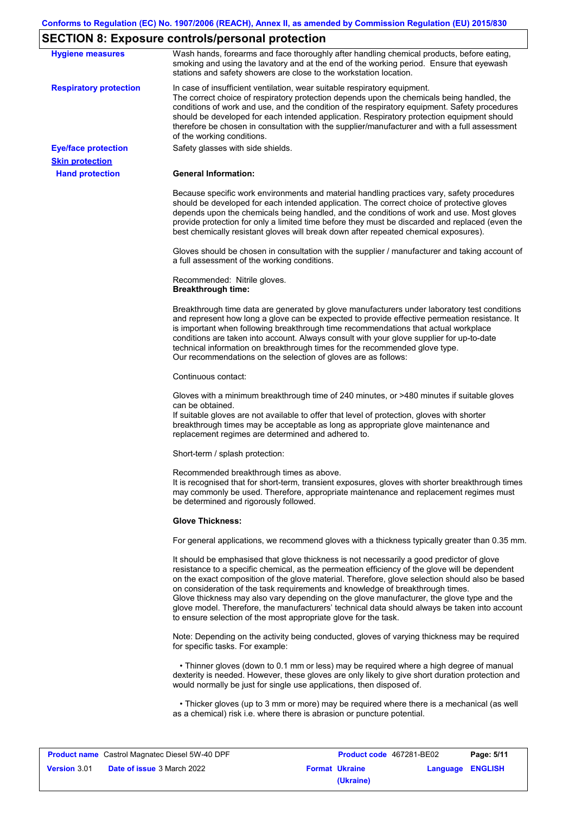# **SECTION 8: Exposure controls/personal protection**

| <b>Hygiene measures</b>                              | Wash hands, forearms and face thoroughly after handling chemical products, before eating,<br>smoking and using the lavatory and at the end of the working period. Ensure that eyewash<br>stations and safety showers are close to the workstation location.                                                                                                                                                                                                                                                                                                                                                                                       |
|------------------------------------------------------|---------------------------------------------------------------------------------------------------------------------------------------------------------------------------------------------------------------------------------------------------------------------------------------------------------------------------------------------------------------------------------------------------------------------------------------------------------------------------------------------------------------------------------------------------------------------------------------------------------------------------------------------------|
| <b>Respiratory protection</b>                        | In case of insufficient ventilation, wear suitable respiratory equipment.<br>The correct choice of respiratory protection depends upon the chemicals being handled, the<br>conditions of work and use, and the condition of the respiratory equipment. Safety procedures<br>should be developed for each intended application. Respiratory protection equipment should<br>therefore be chosen in consultation with the supplier/manufacturer and with a full assessment<br>of the working conditions.                                                                                                                                             |
| <b>Eye/face protection</b><br><b>Skin protection</b> | Safety glasses with side shields.                                                                                                                                                                                                                                                                                                                                                                                                                                                                                                                                                                                                                 |
| <b>Hand protection</b>                               | <b>General Information:</b>                                                                                                                                                                                                                                                                                                                                                                                                                                                                                                                                                                                                                       |
|                                                      | Because specific work environments and material handling practices vary, safety procedures<br>should be developed for each intended application. The correct choice of protective gloves<br>depends upon the chemicals being handled, and the conditions of work and use. Most gloves<br>provide protection for only a limited time before they must be discarded and replaced (even the<br>best chemically resistant gloves will break down after repeated chemical exposures).                                                                                                                                                                  |
|                                                      | Gloves should be chosen in consultation with the supplier / manufacturer and taking account of<br>a full assessment of the working conditions.                                                                                                                                                                                                                                                                                                                                                                                                                                                                                                    |
|                                                      | Recommended: Nitrile gloves.<br><b>Breakthrough time:</b>                                                                                                                                                                                                                                                                                                                                                                                                                                                                                                                                                                                         |
|                                                      | Breakthrough time data are generated by glove manufacturers under laboratory test conditions<br>and represent how long a glove can be expected to provide effective permeation resistance. It<br>is important when following breakthrough time recommendations that actual workplace<br>conditions are taken into account. Always consult with your glove supplier for up-to-date<br>technical information on breakthrough times for the recommended glove type.<br>Our recommendations on the selection of gloves are as follows:                                                                                                                |
|                                                      | Continuous contact:                                                                                                                                                                                                                                                                                                                                                                                                                                                                                                                                                                                                                               |
|                                                      | Gloves with a minimum breakthrough time of 240 minutes, or >480 minutes if suitable gloves<br>can be obtained.<br>If suitable gloves are not available to offer that level of protection, gloves with shorter<br>breakthrough times may be acceptable as long as appropriate glove maintenance and<br>replacement regimes are determined and adhered to.                                                                                                                                                                                                                                                                                          |
|                                                      | Short-term / splash protection:                                                                                                                                                                                                                                                                                                                                                                                                                                                                                                                                                                                                                   |
|                                                      | Recommended breakthrough times as above.<br>It is recognised that for short-term, transient exposures, gloves with shorter breakthrough times<br>may commonly be used. Therefore, appropriate maintenance and replacement regimes must<br>be determined and rigorously followed.                                                                                                                                                                                                                                                                                                                                                                  |
|                                                      | <b>Glove Thickness:</b>                                                                                                                                                                                                                                                                                                                                                                                                                                                                                                                                                                                                                           |
|                                                      | For general applications, we recommend gloves with a thickness typically greater than 0.35 mm.                                                                                                                                                                                                                                                                                                                                                                                                                                                                                                                                                    |
|                                                      | It should be emphasised that glove thickness is not necessarily a good predictor of glove<br>resistance to a specific chemical, as the permeation efficiency of the glove will be dependent<br>on the exact composition of the glove material. Therefore, glove selection should also be based<br>on consideration of the task requirements and knowledge of breakthrough times.<br>Glove thickness may also vary depending on the glove manufacturer, the glove type and the<br>glove model. Therefore, the manufacturers' technical data should always be taken into account<br>to ensure selection of the most appropriate glove for the task. |
|                                                      | Note: Depending on the activity being conducted, gloves of varying thickness may be required<br>for specific tasks. For example:                                                                                                                                                                                                                                                                                                                                                                                                                                                                                                                  |
|                                                      | • Thinner gloves (down to 0.1 mm or less) may be required where a high degree of manual<br>dexterity is needed. However, these gloves are only likely to give short duration protection and<br>would normally be just for single use applications, then disposed of.                                                                                                                                                                                                                                                                                                                                                                              |
|                                                      | • Thicker gloves (up to 3 mm or more) may be required where there is a mechanical (as well<br>as a chemical) risk i.e. where there is abrasion or puncture potential.                                                                                                                                                                                                                                                                                                                                                                                                                                                                             |
|                                                      |                                                                                                                                                                                                                                                                                                                                                                                                                                                                                                                                                                                                                                                   |

| <b>Product name</b> Castrol Magnatec Diesel 5W-40 DPF |                                   | <b>Product code</b> 467281-BE02 |                  | Page: 5/11 |
|-------------------------------------------------------|-----------------------------------|---------------------------------|------------------|------------|
| <b>Version 3.01</b>                                   | <b>Date of issue</b> 3 March 2022 | <b>Format Ukraine</b>           | Language ENGLISH |            |
|                                                       |                                   | (Ukraine)                       |                  |            |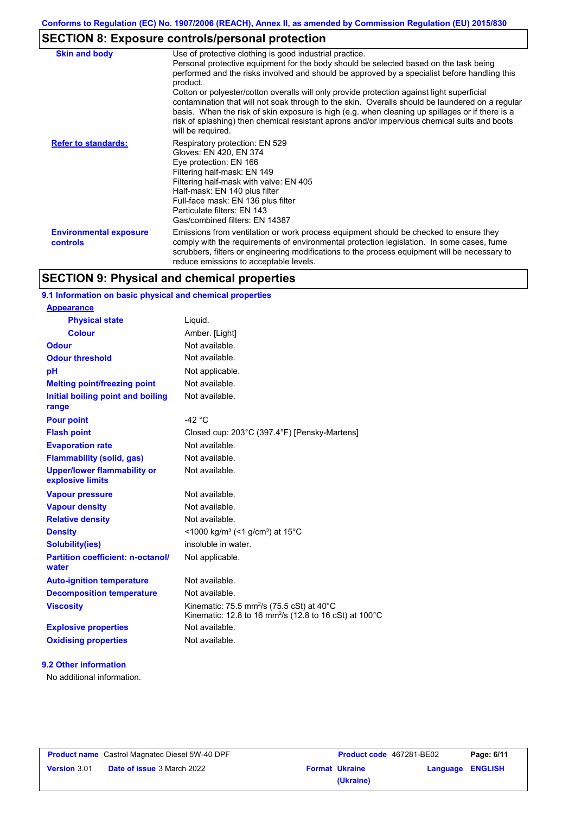# **SECTION 8: Exposure controls/personal protection**

| <b>Skin and body</b>                             | Use of protective clothing is good industrial practice.<br>Personal protective equipment for the body should be selected based on the task being<br>performed and the risks involved and should be approved by a specialist before handling this<br>product.<br>Cotton or polyester/cotton overalls will only provide protection against light superficial<br>contamination that will not soak through to the skin. Overalls should be laundered on a regular<br>basis. When the risk of skin exposure is high (e.g. when cleaning up spillages or if there is a<br>risk of splashing) then chemical resistant aprons and/or impervious chemical suits and boots<br>will be required. |
|--------------------------------------------------|---------------------------------------------------------------------------------------------------------------------------------------------------------------------------------------------------------------------------------------------------------------------------------------------------------------------------------------------------------------------------------------------------------------------------------------------------------------------------------------------------------------------------------------------------------------------------------------------------------------------------------------------------------------------------------------|
| <b>Refer to standards:</b>                       | Respiratory protection: EN 529<br>Gloves: EN 420, EN 374<br>Eye protection: EN 166<br>Filtering half-mask: EN 149<br>Filtering half-mask with valve: EN 405<br>Half-mask: EN 140 plus filter<br>Full-face mask: EN 136 plus filter<br>Particulate filters: EN 143<br>Gas/combined filters: EN 14387                                                                                                                                                                                                                                                                                                                                                                                   |
| <b>Environmental exposure</b><br><b>controls</b> | Emissions from ventilation or work process equipment should be checked to ensure they<br>comply with the requirements of environmental protection legislation. In some cases, fume<br>scrubbers, filters or engineering modifications to the process equipment will be necessary to<br>reduce emissions to acceptable levels.                                                                                                                                                                                                                                                                                                                                                         |

# **SECTION 9: Physical and chemical properties**

## **9.1 Information on basic physical and chemical properties**

| <b>Appearance</b>                                      |                                                                                                                                        |
|--------------------------------------------------------|----------------------------------------------------------------------------------------------------------------------------------------|
| <b>Physical state</b>                                  | Liquid.                                                                                                                                |
| <b>Colour</b>                                          | Amber. [Light]                                                                                                                         |
| <b>Odour</b>                                           | Not available.                                                                                                                         |
| <b>Odour threshold</b>                                 | Not available.                                                                                                                         |
| pH                                                     | Not applicable.                                                                                                                        |
| <b>Melting point/freezing point</b>                    | Not available.                                                                                                                         |
| Initial boiling point and boiling<br>range             | Not available.                                                                                                                         |
| <b>Pour point</b>                                      | $-42 °C$                                                                                                                               |
| <b>Flash point</b>                                     | Closed cup: 203°C (397.4°F) [Pensky-Martens]                                                                                           |
| <b>Evaporation rate</b>                                | Not available.                                                                                                                         |
| <b>Flammability (solid, gas)</b>                       | Not available.                                                                                                                         |
| <b>Upper/lower flammability or</b><br>explosive limits | Not available.                                                                                                                         |
| <b>Vapour pressure</b>                                 | Not available.                                                                                                                         |
| <b>Vapour density</b>                                  | Not available.                                                                                                                         |
| <b>Relative density</b>                                | Not available.                                                                                                                         |
| <b>Density</b>                                         | <1000 kg/m <sup>3</sup> (<1 g/cm <sup>3</sup> ) at 15 <sup>°</sup> C                                                                   |
| <b>Solubility(ies)</b>                                 | insoluble in water.                                                                                                                    |
| <b>Partition coefficient: n-octanol/</b><br>water      | Not applicable.                                                                                                                        |
| <b>Auto-ignition temperature</b>                       | Not available.                                                                                                                         |
| <b>Decomposition temperature</b>                       | Not available.                                                                                                                         |
| <b>Viscosity</b>                                       | Kinematic: 75.5 mm <sup>2</sup> /s (75.5 cSt) at 40 $^{\circ}$ C<br>Kinematic: 12.8 to 16 mm <sup>2</sup> /s (12.8 to 16 cSt) at 100°C |
| <b>Explosive properties</b>                            | Not available.                                                                                                                         |
| <b>Oxidising properties</b>                            | Not available.                                                                                                                         |
|                                                        |                                                                                                                                        |

### **9.2 Other information**

No additional information.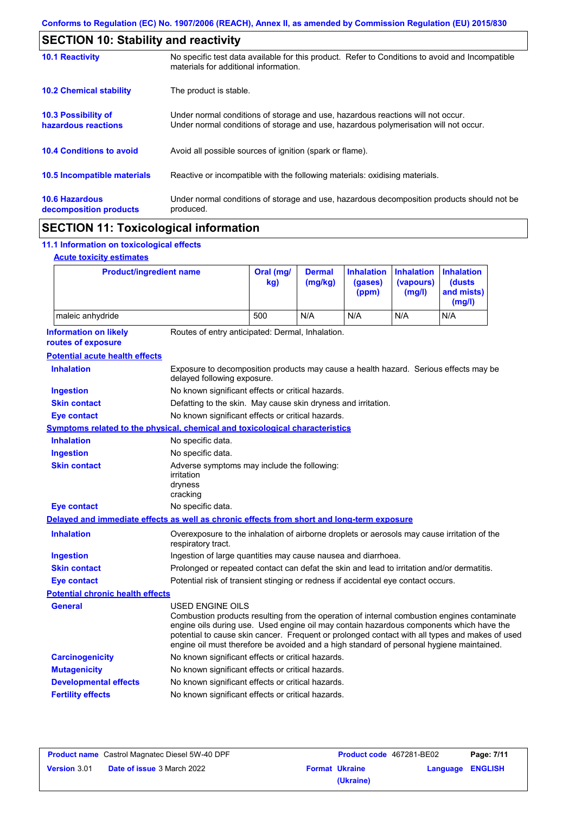| <b>10.1 Reactivity</b>                          | No specific test data available for this product. Refer to Conditions to avoid and Incompatible<br>materials for additional information.                                |
|-------------------------------------------------|-------------------------------------------------------------------------------------------------------------------------------------------------------------------------|
| <b>10.2 Chemical stability</b>                  | The product is stable.                                                                                                                                                  |
| 10.3 Possibility of<br>hazardous reactions      | Under normal conditions of storage and use, hazardous reactions will not occur.<br>Under normal conditions of storage and use, hazardous polymerisation will not occur. |
| <b>10.4 Conditions to avoid</b>                 | Avoid all possible sources of ignition (spark or flame).                                                                                                                |
| <b>10.5 Incompatible materials</b>              | Reactive or incompatible with the following materials: oxidising materials.                                                                                             |
| <b>10.6 Hazardous</b><br>decomposition products | Under normal conditions of storage and use, hazardous decomposition products should not be<br>produced.                                                                 |

# **11.1 Information on toxicological effects**

## **Acute toxicity estimates**

 $\mathbf I$ 

| <b>Product/ingredient name</b>                                                             |                                                                                                                                                                                                                                                                                                                                                                                                                 | Oral (mg/<br>kg)                                                                            | <b>Dermal</b><br>(mg/kg) | <b>Inhalation</b><br>(gases)<br>(ppm) | <b>Inhalation</b><br>(vapours)<br>(mg/l) | <b>Inhalation</b><br>(dusts<br>and mists)<br>(mg/l) |
|--------------------------------------------------------------------------------------------|-----------------------------------------------------------------------------------------------------------------------------------------------------------------------------------------------------------------------------------------------------------------------------------------------------------------------------------------------------------------------------------------------------------------|---------------------------------------------------------------------------------------------|--------------------------|---------------------------------------|------------------------------------------|-----------------------------------------------------|
| maleic anhydride                                                                           |                                                                                                                                                                                                                                                                                                                                                                                                                 | 500                                                                                         | N/A                      | N/A                                   | N/A                                      | N/A                                                 |
| <b>Information on likely</b><br>routes of exposure                                         | Routes of entry anticipated: Dermal, Inhalation.                                                                                                                                                                                                                                                                                                                                                                |                                                                                             |                          |                                       |                                          |                                                     |
| <b>Potential acute health effects</b>                                                      |                                                                                                                                                                                                                                                                                                                                                                                                                 |                                                                                             |                          |                                       |                                          |                                                     |
| <b>Inhalation</b>                                                                          | Exposure to decomposition products may cause a health hazard. Serious effects may be<br>delayed following exposure.                                                                                                                                                                                                                                                                                             |                                                                                             |                          |                                       |                                          |                                                     |
| <b>Ingestion</b>                                                                           | No known significant effects or critical hazards.                                                                                                                                                                                                                                                                                                                                                               |                                                                                             |                          |                                       |                                          |                                                     |
| <b>Skin contact</b>                                                                        | Defatting to the skin. May cause skin dryness and irritation.                                                                                                                                                                                                                                                                                                                                                   |                                                                                             |                          |                                       |                                          |                                                     |
| Eye contact                                                                                | No known significant effects or critical hazards.                                                                                                                                                                                                                                                                                                                                                               |                                                                                             |                          |                                       |                                          |                                                     |
| <b>Symptoms related to the physical, chemical and toxicological characteristics</b>        |                                                                                                                                                                                                                                                                                                                                                                                                                 |                                                                                             |                          |                                       |                                          |                                                     |
| <b>Inhalation</b>                                                                          | No specific data.                                                                                                                                                                                                                                                                                                                                                                                               |                                                                                             |                          |                                       |                                          |                                                     |
| <b>Ingestion</b>                                                                           | No specific data.                                                                                                                                                                                                                                                                                                                                                                                               |                                                                                             |                          |                                       |                                          |                                                     |
| <b>Skin contact</b>                                                                        | Adverse symptoms may include the following:<br>irritation<br>dryness<br>cracking                                                                                                                                                                                                                                                                                                                                |                                                                                             |                          |                                       |                                          |                                                     |
| <b>Eye contact</b>                                                                         | No specific data.                                                                                                                                                                                                                                                                                                                                                                                               |                                                                                             |                          |                                       |                                          |                                                     |
| Delayed and immediate effects as well as chronic effects from short and long-term exposure |                                                                                                                                                                                                                                                                                                                                                                                                                 |                                                                                             |                          |                                       |                                          |                                                     |
| <b>Inhalation</b>                                                                          | respiratory tract.                                                                                                                                                                                                                                                                                                                                                                                              | Overexposure to the inhalation of airborne droplets or aerosols may cause irritation of the |                          |                                       |                                          |                                                     |
| <b>Ingestion</b>                                                                           |                                                                                                                                                                                                                                                                                                                                                                                                                 | Ingestion of large quantities may cause nausea and diarrhoea.                               |                          |                                       |                                          |                                                     |
| <b>Skin contact</b>                                                                        | Prolonged or repeated contact can defat the skin and lead to irritation and/or dermatitis.                                                                                                                                                                                                                                                                                                                      |                                                                                             |                          |                                       |                                          |                                                     |
| <b>Eye contact</b>                                                                         | Potential risk of transient stinging or redness if accidental eye contact occurs.                                                                                                                                                                                                                                                                                                                               |                                                                                             |                          |                                       |                                          |                                                     |
| <b>Potential chronic health effects</b>                                                    |                                                                                                                                                                                                                                                                                                                                                                                                                 |                                                                                             |                          |                                       |                                          |                                                     |
| General                                                                                    | <b>USED ENGINE OILS</b><br>Combustion products resulting from the operation of internal combustion engines contaminate<br>engine oils during use. Used engine oil may contain hazardous components which have the<br>potential to cause skin cancer. Frequent or prolonged contact with all types and makes of used<br>engine oil must therefore be avoided and a high standard of personal hygiene maintained. |                                                                                             |                          |                                       |                                          |                                                     |
| <b>Carcinogenicity</b>                                                                     | No known significant effects or critical hazards.                                                                                                                                                                                                                                                                                                                                                               |                                                                                             |                          |                                       |                                          |                                                     |
| <b>Mutagenicity</b>                                                                        | No known significant effects or critical hazards.                                                                                                                                                                                                                                                                                                                                                               |                                                                                             |                          |                                       |                                          |                                                     |
| <b>Developmental effects</b>                                                               | No known significant effects or critical hazards.                                                                                                                                                                                                                                                                                                                                                               |                                                                                             |                          |                                       |                                          |                                                     |
| <b>Fertility effects</b>                                                                   | No known significant effects or critical hazards.                                                                                                                                                                                                                                                                                                                                                               |                                                                                             |                          |                                       |                                          |                                                     |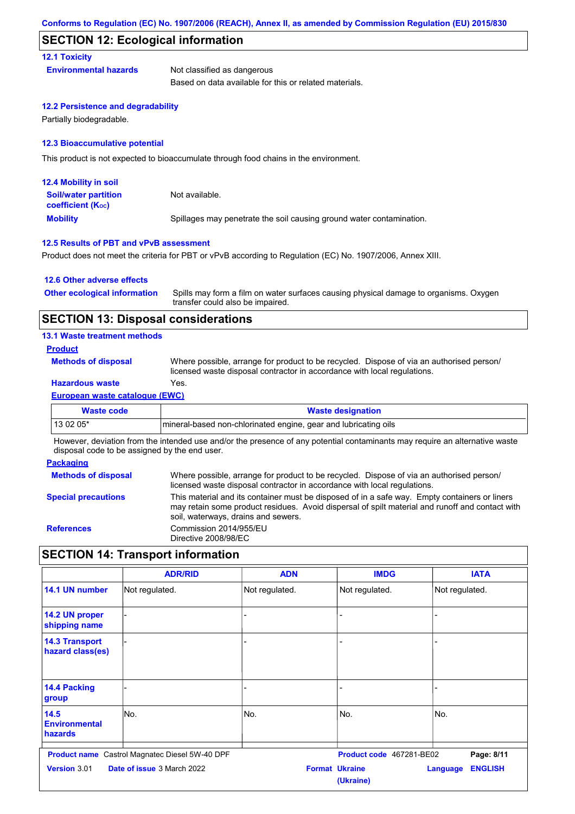## **SECTION 12: Ecological information**

### **12.1 Toxicity**

**Environmental hazards** Not classified as dangerous

Based on data available for this or related materials.

### **12.2 Persistence and degradability**

Partially biodegradable.

### **12.3 Bioaccumulative potential**

This product is not expected to bioaccumulate through food chains in the environment.

| <b>12.4 Mobility in soil</b>                                  |                                                                      |
|---------------------------------------------------------------|----------------------------------------------------------------------|
| <b>Soil/water partition</b><br>coefficient (K <sub>oc</sub> ) | Not available.                                                       |
| <b>Mobility</b>                                               | Spillages may penetrate the soil causing ground water contamination. |

#### **12.5 Results of PBT and vPvB assessment**

Product does not meet the criteria for PBT or vPvB according to Regulation (EC) No. 1907/2006, Annex XIII.

### **12.6 Other adverse effects Other ecological information**

Spills may form a film on water surfaces causing physical damage to organisms. Oxygen transfer could also be impaired.

## **SECTION 13: Disposal considerations**

**13.1 Waste treatment methods**

## **Product**

**Methods of disposal**

Where possible, arrange for product to be recycled. Dispose of via an authorised person/ licensed waste disposal contractor in accordance with local regulations.

## **Hazardous waste** Yes.

**European waste catalogue (EWC)**

| Waste code | <b>Waste designation</b>                                        |
|------------|-----------------------------------------------------------------|
| 13 02 05*  | mineral-based non-chlorinated engine, gear and lubricating oils |

However, deviation from the intended use and/or the presence of any potential contaminants may require an alternative waste disposal code to be assigned by the end user.

## **Packaging**

| <b>Methods of disposal</b> | Where possible, arrange for product to be recycled. Dispose of via an authorised person/<br>licensed waste disposal contractor in accordance with local regulations.                                                                    |
|----------------------------|-----------------------------------------------------------------------------------------------------------------------------------------------------------------------------------------------------------------------------------------|
| <b>Special precautions</b> | This material and its container must be disposed of in a safe way. Empty containers or liners<br>may retain some product residues. Avoid dispersal of spilt material and runoff and contact with<br>soil, waterways, drains and sewers. |
| <b>References</b>          | Commission 2014/955/EU<br>Directive 2008/98/EC                                                                                                                                                                                          |

# **SECTION 14: Transport information**

|                                           | <b>ADR/RID</b>                                        | <b>ADN</b>     | <b>IMDG</b>                        | <b>IATA</b>                       |
|-------------------------------------------|-------------------------------------------------------|----------------|------------------------------------|-----------------------------------|
| 14.1 UN number                            | Not regulated.                                        | Not regulated. | Not regulated.                     | Not regulated.                    |
| 14.2 UN proper<br>shipping name           |                                                       |                |                                    |                                   |
| <b>14.3 Transport</b><br>hazard class(es) |                                                       |                |                                    |                                   |
| <b>14.4 Packing</b><br>group              |                                                       |                |                                    |                                   |
| 14.5<br><b>Environmental</b><br>hazards   | No.                                                   | No.            | No.                                | lNo.                              |
|                                           | <b>Product name</b> Castrol Magnatec Diesel 5W-40 DPF |                | Product code 467281-BE02           | Page: 8/11                        |
| <b>Version 3.01</b>                       | <b>Date of issue 3 March 2022</b>                     |                | <b>Format Ukraine</b><br>(Ukraine) | <b>ENGLISH</b><br><b>Language</b> |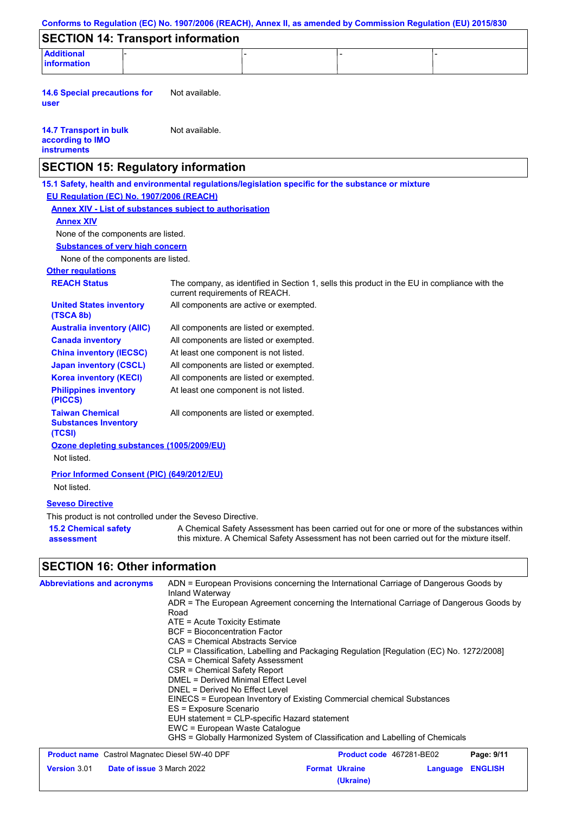|                                                                                                                                                                                                                                                                                                                                                                                                                                                                                                                                                                                                                                                                                                 |                                                                                                           |  |                                    | Conforms to Regulation (EC) No. 1907/2006 (REACH), Annex II, as amended by Commission Regulation (EU) 2015/830                                                                            |  |
|-------------------------------------------------------------------------------------------------------------------------------------------------------------------------------------------------------------------------------------------------------------------------------------------------------------------------------------------------------------------------------------------------------------------------------------------------------------------------------------------------------------------------------------------------------------------------------------------------------------------------------------------------------------------------------------------------|-----------------------------------------------------------------------------------------------------------|--|------------------------------------|-------------------------------------------------------------------------------------------------------------------------------------------------------------------------------------------|--|
| <b>SECTION 14: Transport information</b>                                                                                                                                                                                                                                                                                                                                                                                                                                                                                                                                                                                                                                                        |                                                                                                           |  |                                    |                                                                                                                                                                                           |  |
| <b>Additional</b>                                                                                                                                                                                                                                                                                                                                                                                                                                                                                                                                                                                                                                                                               |                                                                                                           |  |                                    |                                                                                                                                                                                           |  |
| information                                                                                                                                                                                                                                                                                                                                                                                                                                                                                                                                                                                                                                                                                     |                                                                                                           |  |                                    |                                                                                                                                                                                           |  |
| <b>14.6 Special precautions for</b><br>user                                                                                                                                                                                                                                                                                                                                                                                                                                                                                                                                                                                                                                                     | Not available.                                                                                            |  |                                    |                                                                                                                                                                                           |  |
| <b>14.7 Transport in bulk</b><br>according to IMO<br><b>instruments</b>                                                                                                                                                                                                                                                                                                                                                                                                                                                                                                                                                                                                                         | Not available.                                                                                            |  |                                    |                                                                                                                                                                                           |  |
| <b>SECTION 15: Regulatory information</b>                                                                                                                                                                                                                                                                                                                                                                                                                                                                                                                                                                                                                                                       |                                                                                                           |  |                                    |                                                                                                                                                                                           |  |
| 15.1 Safety, health and environmental regulations/legislation specific for the substance or mixture                                                                                                                                                                                                                                                                                                                                                                                                                                                                                                                                                                                             |                                                                                                           |  |                                    |                                                                                                                                                                                           |  |
| EU Regulation (EC) No. 1907/2006 (REACH)                                                                                                                                                                                                                                                                                                                                                                                                                                                                                                                                                                                                                                                        |                                                                                                           |  |                                    |                                                                                                                                                                                           |  |
| <b>Annex XIV - List of substances subject to authorisation</b>                                                                                                                                                                                                                                                                                                                                                                                                                                                                                                                                                                                                                                  |                                                                                                           |  |                                    |                                                                                                                                                                                           |  |
| <b>Annex XIV</b>                                                                                                                                                                                                                                                                                                                                                                                                                                                                                                                                                                                                                                                                                |                                                                                                           |  |                                    |                                                                                                                                                                                           |  |
| None of the components are listed.                                                                                                                                                                                                                                                                                                                                                                                                                                                                                                                                                                                                                                                              |                                                                                                           |  |                                    |                                                                                                                                                                                           |  |
| <b>Substances of very high concern</b>                                                                                                                                                                                                                                                                                                                                                                                                                                                                                                                                                                                                                                                          |                                                                                                           |  |                                    |                                                                                                                                                                                           |  |
| None of the components are listed.                                                                                                                                                                                                                                                                                                                                                                                                                                                                                                                                                                                                                                                              |                                                                                                           |  |                                    |                                                                                                                                                                                           |  |
| <b>Other regulations</b>                                                                                                                                                                                                                                                                                                                                                                                                                                                                                                                                                                                                                                                                        |                                                                                                           |  |                                    |                                                                                                                                                                                           |  |
| <b>REACH Status</b>                                                                                                                                                                                                                                                                                                                                                                                                                                                                                                                                                                                                                                                                             | current requirements of REACH.                                                                            |  |                                    | The company, as identified in Section 1, sells this product in the EU in compliance with the                                                                                              |  |
| <b>United States inventory</b><br>(TSCA 8b)                                                                                                                                                                                                                                                                                                                                                                                                                                                                                                                                                                                                                                                     | All components are active or exempted.                                                                    |  |                                    |                                                                                                                                                                                           |  |
| <b>Australia inventory (AIIC)</b>                                                                                                                                                                                                                                                                                                                                                                                                                                                                                                                                                                                                                                                               | All components are listed or exempted.                                                                    |  |                                    |                                                                                                                                                                                           |  |
| <b>Canada inventory</b>                                                                                                                                                                                                                                                                                                                                                                                                                                                                                                                                                                                                                                                                         | All components are listed or exempted.                                                                    |  |                                    |                                                                                                                                                                                           |  |
| <b>China inventory (IECSC)</b>                                                                                                                                                                                                                                                                                                                                                                                                                                                                                                                                                                                                                                                                  | At least one component is not listed.                                                                     |  |                                    |                                                                                                                                                                                           |  |
| <b>Japan inventory (CSCL)</b>                                                                                                                                                                                                                                                                                                                                                                                                                                                                                                                                                                                                                                                                   | All components are listed or exempted.<br>All components are listed or exempted.                          |  |                                    |                                                                                                                                                                                           |  |
| <b>Korea inventory (KECI)</b><br><b>Philippines inventory</b><br>(PICCS)                                                                                                                                                                                                                                                                                                                                                                                                                                                                                                                                                                                                                        | At least one component is not listed.                                                                     |  |                                    |                                                                                                                                                                                           |  |
| <b>Taiwan Chemical</b><br><b>Substances Inventory</b><br>(TCSI)                                                                                                                                                                                                                                                                                                                                                                                                                                                                                                                                                                                                                                 | All components are listed or exempted.                                                                    |  |                                    |                                                                                                                                                                                           |  |
| Ozone depleting substances (1005/2009/EU)<br>Not listed.                                                                                                                                                                                                                                                                                                                                                                                                                                                                                                                                                                                                                                        |                                                                                                           |  |                                    |                                                                                                                                                                                           |  |
| <b>Prior Informed Consent (PIC) (649/2012/EU)</b><br>Not listed.                                                                                                                                                                                                                                                                                                                                                                                                                                                                                                                                                                                                                                |                                                                                                           |  |                                    |                                                                                                                                                                                           |  |
| <b>Seveso Directive</b>                                                                                                                                                                                                                                                                                                                                                                                                                                                                                                                                                                                                                                                                         |                                                                                                           |  |                                    |                                                                                                                                                                                           |  |
| This product is not controlled under the Seveso Directive.                                                                                                                                                                                                                                                                                                                                                                                                                                                                                                                                                                                                                                      |                                                                                                           |  |                                    |                                                                                                                                                                                           |  |
| <b>15.2 Chemical safety</b><br>assessment                                                                                                                                                                                                                                                                                                                                                                                                                                                                                                                                                                                                                                                       |                                                                                                           |  |                                    | A Chemical Safety Assessment has been carried out for one or more of the substances within<br>this mixture. A Chemical Safety Assessment has not been carried out for the mixture itself. |  |
| <b>SECTION 16: Other information</b>                                                                                                                                                                                                                                                                                                                                                                                                                                                                                                                                                                                                                                                            |                                                                                                           |  |                                    |                                                                                                                                                                                           |  |
| ADN = European Provisions concerning the International Carriage of Dangerous Goods by<br><b>Abbreviations and acronyms</b><br>Inland Waterway<br>ADR = The European Agreement concerning the International Carriage of Dangerous Goods by<br>Road<br>ATE = Acute Toxicity Estimate<br><b>BCF</b> = Bioconcentration Factor<br>CAS = Chemical Abstracts Service<br>CLP = Classification, Labelling and Packaging Regulation [Regulation (EC) No. 1272/2008]<br><b>CSA = Chemical Safety Assessment</b><br><b>CSR = Chemical Safety Report</b><br>DMEL = Derived Minimal Effect Level<br>DNEL = Derived No Effect Level<br>EINECS = European Inventory of Existing Commercial chemical Substances |                                                                                                           |  |                                    |                                                                                                                                                                                           |  |
|                                                                                                                                                                                                                                                                                                                                                                                                                                                                                                                                                                                                                                                                                                 | ES = Exposure Scenario<br>EUH statement = CLP-specific Hazard statement<br>EWC = European Waste Catalogue |  |                                    | GHS = Globally Harmonized System of Classification and Labelling of Chemicals                                                                                                             |  |
| <b>Product name</b> Castrol Magnatec Diesel 5W-40 DPF                                                                                                                                                                                                                                                                                                                                                                                                                                                                                                                                                                                                                                           |                                                                                                           |  |                                    | Product code 467281-BE02<br>Page: 9/11                                                                                                                                                    |  |
| Version 3.01<br>Date of issue 3 March 2022                                                                                                                                                                                                                                                                                                                                                                                                                                                                                                                                                                                                                                                      |                                                                                                           |  | <b>Format Ukraine</b><br>(Ukraine) | <b>ENGLISH</b><br>Language                                                                                                                                                                |  |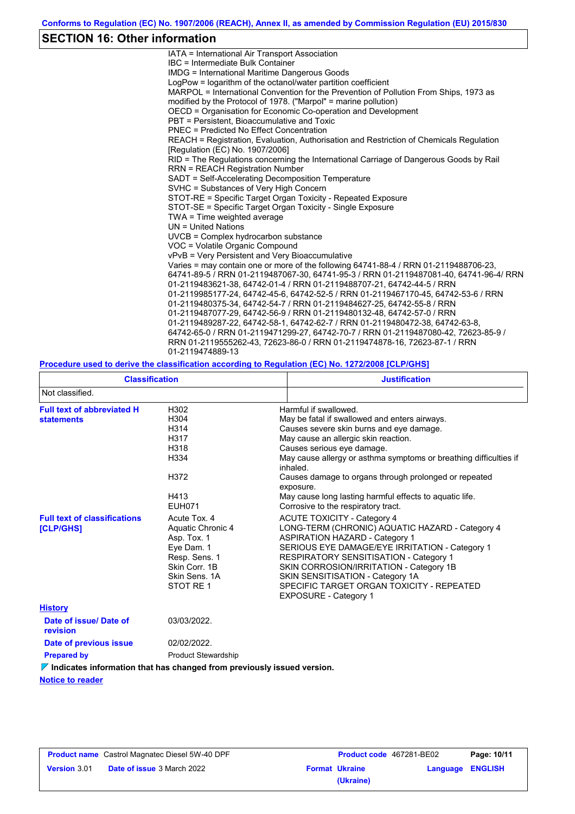## **SECTION 16: Other information**

IATA = International Air Transport Association IBC = Intermediate Bulk Container IMDG = International Maritime Dangerous Goods LogPow = logarithm of the octanol/water partition coefficient MARPOL = International Convention for the Prevention of Pollution From Ships, 1973 as modified by the Protocol of 1978. ("Marpol" = marine pollution) OECD = Organisation for Economic Co-operation and Development PBT = Persistent, Bioaccumulative and Toxic PNEC = Predicted No Effect Concentration REACH = Registration, Evaluation, Authorisation and Restriction of Chemicals Regulation [Regulation (EC) No. 1907/2006] RID = The Regulations concerning the International Carriage of Dangerous Goods by Rail RRN = REACH Registration Number SADT = Self-Accelerating Decomposition Temperature SVHC = Substances of Very High Concern STOT-RE = Specific Target Organ Toxicity - Repeated Exposure STOT-SE = Specific Target Organ Toxicity - Single Exposure TWA = Time weighted average UN = United Nations UVCB = Complex hydrocarbon substance VOC = Volatile Organic Compound vPvB = Very Persistent and Very Bioaccumulative Varies = may contain one or more of the following 64741-88-4 / RRN 01-2119488706-23, 64741-89-5 / RRN 01-2119487067-30, 64741-95-3 / RRN 01-2119487081-40, 64741-96-4/ RRN 01-2119483621-38, 64742-01-4 / RRN 01-2119488707-21, 64742-44-5 / RRN 01-2119985177-24, 64742-45-6, 64742-52-5 / RRN 01-2119467170-45, 64742-53-6 / RRN 01-2119480375-34, 64742-54-7 / RRN 01-2119484627-25, 64742-55-8 / RRN 01-2119487077-29, 64742-56-9 / RRN 01-2119480132-48, 64742-57-0 / RRN 01-2119489287-22, 64742-58-1, 64742-62-7 / RRN 01-2119480472-38, 64742-63-8, 64742-65-0 / RRN 01-2119471299-27, 64742-70-7 / RRN 01-2119487080-42, 72623-85-9 / RRN 01-2119555262-43, 72623-86-0 / RRN 01-2119474878-16, 72623-87-1 / RRN 01-2119474889-13

### **Procedure used to derive the classification according to Regulation (EC) No. 1272/2008 [CLP/GHS]**

| <b>Classification</b>                                   |                                                                                                                                | <b>Justification</b>                                                                                                                                                                                                                                                                                                                                                                                                                              |
|---------------------------------------------------------|--------------------------------------------------------------------------------------------------------------------------------|---------------------------------------------------------------------------------------------------------------------------------------------------------------------------------------------------------------------------------------------------------------------------------------------------------------------------------------------------------------------------------------------------------------------------------------------------|
| Not classified.                                         |                                                                                                                                |                                                                                                                                                                                                                                                                                                                                                                                                                                                   |
| <b>Full text of abbreviated H</b><br><b>statements</b>  | H302<br>H304<br>H314<br>H317<br>H318<br>H334<br>H372<br>H413<br><b>EUH071</b>                                                  | Harmful if swallowed.<br>May be fatal if swallowed and enters airways.<br>Causes severe skin burns and eye damage.<br>May cause an allergic skin reaction.<br>Causes serious eye damage.<br>May cause allergy or asthma symptoms or breathing difficulties if<br>inhaled.<br>Causes damage to organs through prolonged or repeated<br>exposure.<br>May cause long lasting harmful effects to aquatic life.<br>Corrosive to the respiratory tract. |
| <b>Full text of classifications</b><br><b>[CLP/GHS]</b> | Acute Tox, 4<br>Aquatic Chronic 4<br>Asp. Tox. 1<br>Eye Dam. 1<br>Resp. Sens. 1<br>Skin Corr, 1B<br>Skin Sens, 1A<br>STOT RE 1 | <b>ACUTE TOXICITY - Category 4</b><br>LONG-TERM (CHRONIC) AQUATIC HAZARD - Category 4<br><b>ASPIRATION HAZARD - Category 1</b><br>SERIOUS EYE DAMAGE/EYE IRRITATION - Category 1<br><b>RESPIRATORY SENSITISATION - Category 1</b><br>SKIN CORROSION/IRRITATION - Category 1B<br>SKIN SENSITISATION - Category 1A<br>SPECIFIC TARGET ORGAN TOXICITY - REPEATED<br>EXPOSURE - Category 1                                                            |
| <b>History</b>                                          |                                                                                                                                |                                                                                                                                                                                                                                                                                                                                                                                                                                                   |
| Date of issue/Date of<br>revision                       | 03/03/2022.                                                                                                                    |                                                                                                                                                                                                                                                                                                                                                                                                                                                   |
| Date of previous issue                                  | 02/02/2022.                                                                                                                    |                                                                                                                                                                                                                                                                                                                                                                                                                                                   |
| <b>Prepared by</b>                                      | <b>Product Stewardship</b>                                                                                                     |                                                                                                                                                                                                                                                                                                                                                                                                                                                   |

*V* **Indicates information that has changed from previously issued version.** 

**Notice to reader**

|                     | <b>Product name</b> Castrol Magnatec Diesel 5W-40 DPF |
|---------------------|-------------------------------------------------------|
| <b>Version 3.01</b> | <b>Date of issue 3 March 2022</b>                     |